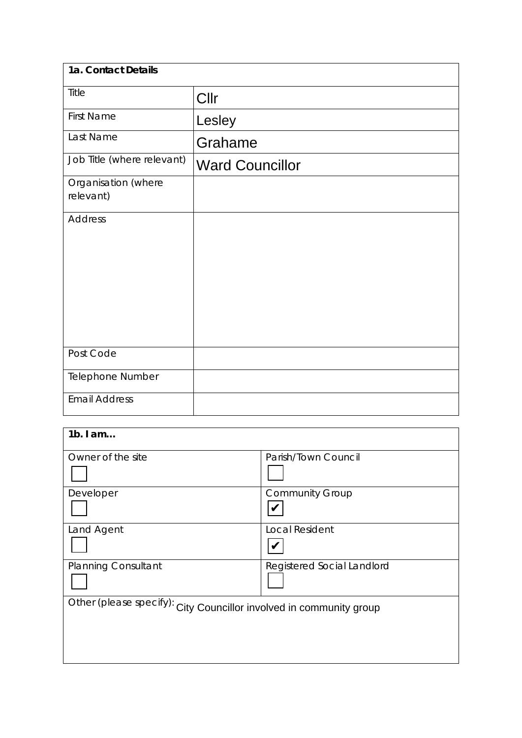| 1a. Contact Details              |                        |
|----------------------------------|------------------------|
| Title                            | Cllr                   |
| <b>First Name</b>                | Lesley                 |
| Last Name                        | Grahame                |
| Job Title (where relevant)       | <b>Ward Councillor</b> |
| Organisation (where<br>relevant) |                        |
| <b>Address</b>                   |                        |
| Post Code                        |                        |
| Telephone Number                 |                        |
| <b>Email Address</b>             |                        |

| $1b.$ I am                                                          |                            |
|---------------------------------------------------------------------|----------------------------|
| Owner of the site                                                   | Parish/Town Council        |
|                                                                     |                            |
| Developer                                                           | <b>Community Group</b>     |
|                                                                     |                            |
| Land Agent                                                          | <b>Local Resident</b>      |
|                                                                     |                            |
| <b>Planning Consultant</b>                                          | Registered Social Landlord |
|                                                                     |                            |
| Other (please specify): City Councillor involved in community group |                            |
|                                                                     |                            |
|                                                                     |                            |
|                                                                     |                            |
|                                                                     |                            |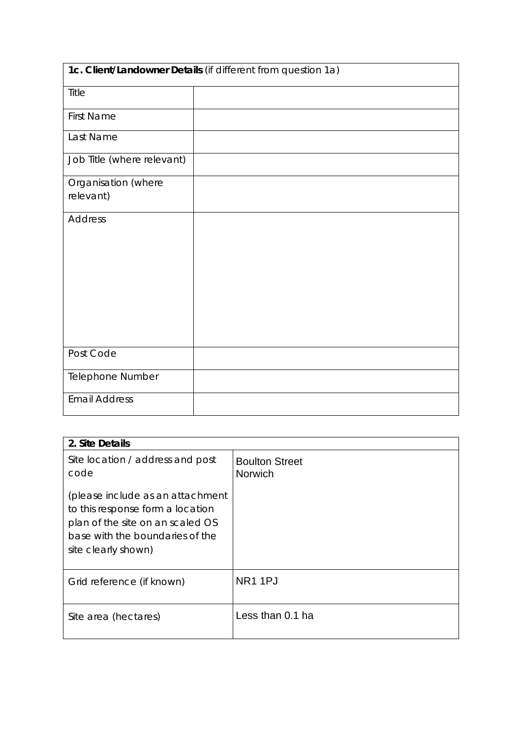| 1c. Client/Landowner Details (if different from question 1a) |  |  |  |
|--------------------------------------------------------------|--|--|--|
| Title                                                        |  |  |  |
| <b>First Name</b>                                            |  |  |  |
| Last Name                                                    |  |  |  |
| Job Title (where relevant)                                   |  |  |  |
| Organisation (where                                          |  |  |  |
| relevant)                                                    |  |  |  |
| <b>Address</b>                                               |  |  |  |
|                                                              |  |  |  |
|                                                              |  |  |  |
|                                                              |  |  |  |
|                                                              |  |  |  |
|                                                              |  |  |  |
| Post Code                                                    |  |  |  |
| Telephone Number                                             |  |  |  |
| <b>Email Address</b>                                         |  |  |  |

| 2. Site Details                                                                                                                                                    |                                  |
|--------------------------------------------------------------------------------------------------------------------------------------------------------------------|----------------------------------|
| Site location / address and post<br>code                                                                                                                           | <b>Boulton Street</b><br>Norwich |
| (please include as an attachment<br>to this response form a location<br>plan of the site on an scaled OS<br>base with the boundaries of the<br>site clearly shown) |                                  |
| Grid reference (if known)                                                                                                                                          | NR <sub>1</sub> 1PJ              |
| Site area (hectares)                                                                                                                                               | Less than 0.1 ha                 |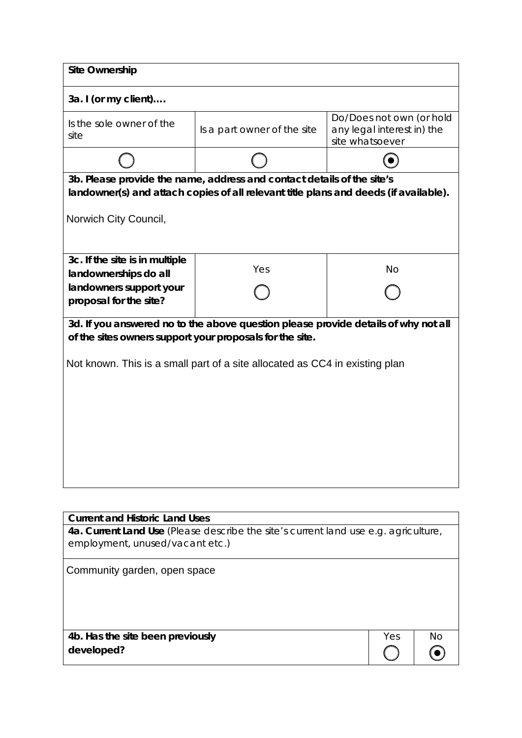| <b>Site Ownership</b>                                    |                                                                                                                                                                |                                                                           |  |  |  |  |
|----------------------------------------------------------|----------------------------------------------------------------------------------------------------------------------------------------------------------------|---------------------------------------------------------------------------|--|--|--|--|
| 3a. I (or my client)                                     |                                                                                                                                                                |                                                                           |  |  |  |  |
| Is the sole owner of the<br>site                         | Is a part owner of the site                                                                                                                                    | Do/Does not own (or hold<br>any legal interest in) the<br>site whatsoever |  |  |  |  |
|                                                          |                                                                                                                                                                |                                                                           |  |  |  |  |
| Norwich City Council,                                    | 3b. Please provide the name, address and contact details of the site's<br>landowner(s) and attach copies of all relevant title plans and deeds (if available). |                                                                           |  |  |  |  |
| 3c. If the site is in multiple<br>landownerships do all  | Yes                                                                                                                                                            | <b>No</b>                                                                 |  |  |  |  |
| landowners support your<br>proposal for the site?        |                                                                                                                                                                |                                                                           |  |  |  |  |
| of the sites owners support your proposals for the site. | 3d. If you answered no to the above question please provide details of why not all                                                                             |                                                                           |  |  |  |  |
|                                                          | Not known. This is a small part of a site allocated as CC4 in existing plan                                                                                    |                                                                           |  |  |  |  |
|                                                          |                                                                                                                                                                |                                                                           |  |  |  |  |
|                                                          |                                                                                                                                                                |                                                                           |  |  |  |  |
|                                                          |                                                                                                                                                                |                                                                           |  |  |  |  |
|                                                          |                                                                                                                                                                |                                                                           |  |  |  |  |
|                                                          |                                                                                                                                                                |                                                                           |  |  |  |  |

| <b>Current and Historic Land Uses</b>                                                                                  |     |    |
|------------------------------------------------------------------------------------------------------------------------|-----|----|
| 4a. Current Land Use (Please describe the site's current land use e.g. agriculture,<br>employment, unused/vacant etc.) |     |    |
| Community garden, open space                                                                                           |     |    |
| 4b. Has the site been previously                                                                                       | Yes | Nο |
| developed?                                                                                                             |     |    |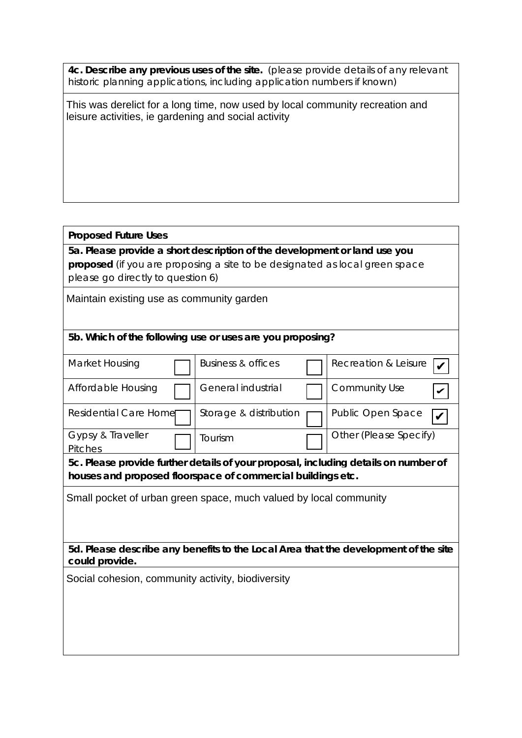**4c. Describe any previous uses of the site.** (please provide details of any relevant historic planning applications, including application numbers if known)

This was derelict for a long time, now used by local community recreation and leisure activities, ie gardening and social activity

## **Proposed Future Uses**

**5a. Please provide a short description of the development or land use you proposed** (if you are proposing a site to be designated as local green space please go directly to question 6)

Maintain existing use as community garden

## **5b. Which of the following use or uses are you proposing?**

| Market Housing                                    | Business & offices                                                | Recreation & Leisure                                                                |
|---------------------------------------------------|-------------------------------------------------------------------|-------------------------------------------------------------------------------------|
| Affordable Housing                                | General industrial                                                | Community Use                                                                       |
| <b>Residential Care Home</b>                      | Storage & distribution                                            | Public Open Space                                                                   |
| Gypsy & Traveller<br>Pitches                      | Tourism                                                           | Other (Please Specify)                                                              |
|                                                   |                                                                   | 5c. Please provide further details of your proposal, including details on number of |
|                                                   | houses and proposed floorspace of commercial buildings etc.       |                                                                                     |
|                                                   | Small pocket of urban green space, much valued by local community |                                                                                     |
|                                                   |                                                                   |                                                                                     |
|                                                   |                                                                   |                                                                                     |
|                                                   |                                                                   |                                                                                     |
| could provide.                                    |                                                                   | 5d. Please describe any benefits to the Local Area that the development of the site |
| Social cohesion, community activity, biodiversity |                                                                   |                                                                                     |
|                                                   |                                                                   |                                                                                     |
|                                                   |                                                                   |                                                                                     |
|                                                   |                                                                   |                                                                                     |
|                                                   |                                                                   |                                                                                     |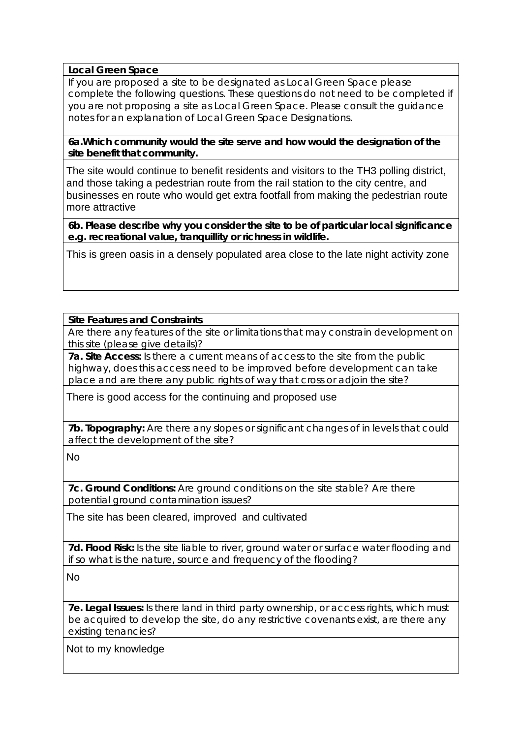## **Local Green Space**

If you are proposed a site to be designated as Local Green Space please complete the following questions. These questions do not need to be completed if you are not proposing a site as Local Green Space. Please consult the guidance notes for an explanation of Local Green Space Designations.

**6a.Which community would the site serve and how would the designation of the site benefit that community.** 

The site would continue to benefit residents and visitors to the TH3 polling district, and those taking a pedestrian route from the rail station to the city centre, and businesses en route who would get extra footfall from making the pedestrian route more attractive

**6b. Please describe why you consider the site to be of particular local significance e.g. recreational value, tranquillity or richness in wildlife.**

This is green oasis in a densely populated area close to the late night activity zone

## **Site Features and Constraints**

Are there any features of the site or limitations that may constrain development on this site (please give details)?

**7a. Site Access:** Is there a current means of access to the site from the public highway, does this access need to be improved before development can take place and are there any public rights of way that cross or adjoin the site?

There is good access for the continuing and proposed use

**7b. Topography:** Are there any slopes or significant changes of in levels that could affect the development of the site?

No

**7c. Ground Conditions:** Are ground conditions on the site stable? Are there potential ground contamination issues?

The site has been cleared, improved and cultivated

**7d. Flood Risk:** Is the site liable to river, ground water or surface water flooding and if so what is the nature, source and frequency of the flooding?

No

**7e. Legal Issues:** Is there land in third party ownership, or access rights, which must be acquired to develop the site, do any restrictive covenants exist, are there any existing tenancies?

Not to my knowledge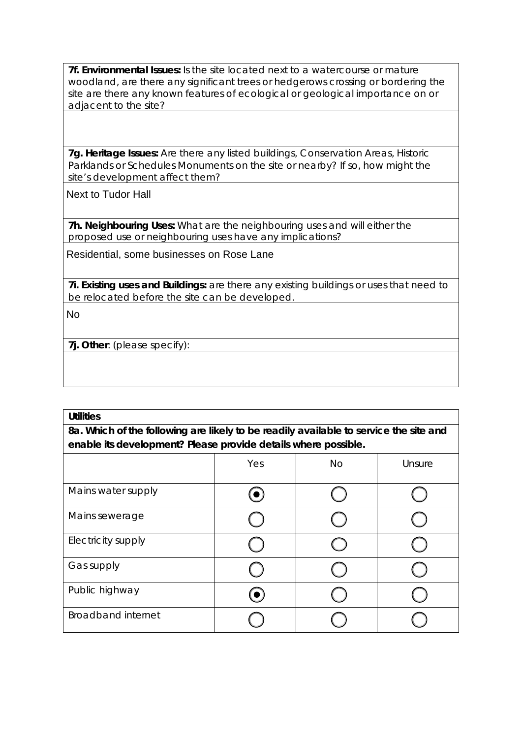**7f. Environmental Issues:** Is the site located next to a watercourse or mature woodland, are there any significant trees or hedgerows crossing or bordering the site are there any known features of ecological or geological importance on or adjacent to the site?

**7g. Heritage Issues:** Are there any listed buildings, Conservation Areas, Historic Parklands or Schedules Monuments on the site or nearby? If so, how might the site's development affect them?

Next to Tudor Hall

**7h. Neighbouring Uses:** What are the neighbouring uses and will either the proposed use or neighbouring uses have any implications?

Residential, some businesses on Rose Lane

**7i. Existing uses and Buildings:** are there any existing buildings or uses that need to be relocated before the site can be developed.

No

**7j. Other**: (please specify):

| <b>Utilities</b>                                                                      |  |  |  |  |  |  |
|---------------------------------------------------------------------------------------|--|--|--|--|--|--|
| 8a. Which of the following are likely to be readily available to service the site and |  |  |  |  |  |  |
| enable its development? Please provide details where possible.                        |  |  |  |  |  |  |
| Yes<br>Unsure<br>No                                                                   |  |  |  |  |  |  |
| Mains water supply                                                                    |  |  |  |  |  |  |
| Mains sewerage                                                                        |  |  |  |  |  |  |
| Electricity supply                                                                    |  |  |  |  |  |  |
| Gas supply                                                                            |  |  |  |  |  |  |
| Public highway                                                                        |  |  |  |  |  |  |
| <b>Broadband internet</b>                                                             |  |  |  |  |  |  |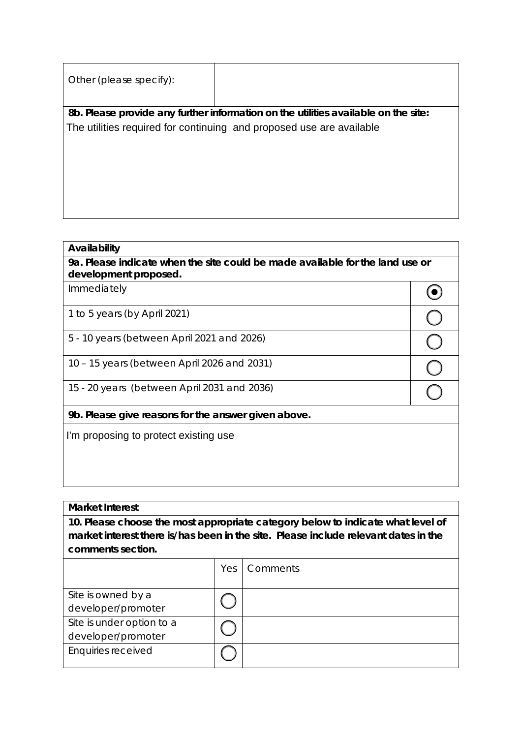| Other (please specify): |                                                                                    |
|-------------------------|------------------------------------------------------------------------------------|
|                         | 8b. Please provide any further information on the utilities available on the site: |
|                         | The utilities required for continuing and proposed use are available               |
|                         |                                                                                    |
|                         |                                                                                    |
|                         |                                                                                    |
|                         |                                                                                    |
|                         |                                                                                    |

#### **Availability**

#### **Market Interest**

| The utilities required for continuing and proposed use are available |     |                                                                                                                                                                        |                         |
|----------------------------------------------------------------------|-----|------------------------------------------------------------------------------------------------------------------------------------------------------------------------|-------------------------|
|                                                                      |     |                                                                                                                                                                        |                         |
|                                                                      |     |                                                                                                                                                                        |                         |
|                                                                      |     |                                                                                                                                                                        |                         |
| Availability                                                         |     |                                                                                                                                                                        |                         |
| development proposed.                                                |     | 9a. Please indicate when the site could be made available for the land use or                                                                                          |                         |
| Immediately                                                          |     |                                                                                                                                                                        |                         |
| 1 to 5 years (by April 2021)                                         |     |                                                                                                                                                                        | $\mathsf C$             |
| 5 - 10 years (between April 2021 and 2026)                           |     |                                                                                                                                                                        | $\overline{\mathbb{C}}$ |
| 10 - 15 years (between April 2026 and 2031)                          |     |                                                                                                                                                                        |                         |
| 15 - 20 years (between April 2031 and 2036)                          |     |                                                                                                                                                                        |                         |
| 9b. Please give reasons for the answer given above.                  |     |                                                                                                                                                                        |                         |
| I'm proposing to protect existing use                                |     |                                                                                                                                                                        |                         |
|                                                                      |     |                                                                                                                                                                        |                         |
|                                                                      |     |                                                                                                                                                                        |                         |
|                                                                      |     |                                                                                                                                                                        |                         |
| <b>Market Interest</b>                                               |     |                                                                                                                                                                        |                         |
|                                                                      |     | 10. Please choose the most appropriate category below to indicate what level of<br>market interest there is/has been in the site. Please include relevant dates in the |                         |
| comments section.                                                    |     |                                                                                                                                                                        |                         |
|                                                                      | Yes | Comments                                                                                                                                                               |                         |
| Site is owned by a<br>developer/promoter                             |     |                                                                                                                                                                        |                         |
| Site is under option to a<br>developer/promoter                      |     |                                                                                                                                                                        |                         |
| <b>Enquiries received</b>                                            |     |                                                                                                                                                                        |                         |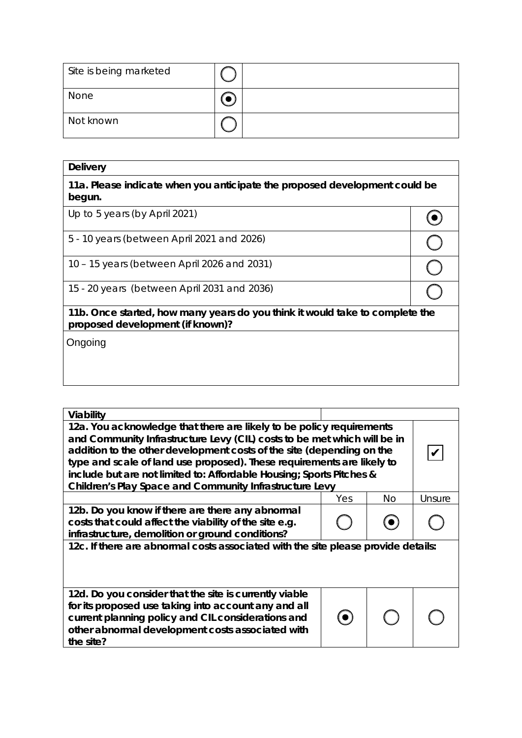| Site is being marketed |  |
|------------------------|--|
| None                   |  |
| Not known              |  |

| <b>Delivery</b>                                                                                                  |  |
|------------------------------------------------------------------------------------------------------------------|--|
| 11a. Please indicate when you anticipate the proposed development could be<br>begun.                             |  |
| Up to 5 years (by April 2021)                                                                                    |  |
| 5 - 10 years (between April 2021 and 2026)                                                                       |  |
| 10 – 15 years (between April 2026 and 2031)                                                                      |  |
| 15 - 20 years (between April 2031 and 2036)                                                                      |  |
| 11b. Once started, how many years do you think it would take to complete the<br>proposed development (if known)? |  |
| Ongoing                                                                                                          |  |
|                                                                                                                  |  |
|                                                                                                                  |  |

| Viability                                                                                                                                                                                                                                                                                                                                                                                                                                     |     |           |        |  |
|-----------------------------------------------------------------------------------------------------------------------------------------------------------------------------------------------------------------------------------------------------------------------------------------------------------------------------------------------------------------------------------------------------------------------------------------------|-----|-----------|--------|--|
| 12a. You acknowledge that there are likely to be policy requirements<br>and Community Infrastructure Levy (CIL) costs to be met which will be in<br>addition to the other development costs of the site (depending on the<br>type and scale of land use proposed). These requirements are likely to<br>include but are not limited to: Affordable Housing; Sports Pitches &<br><b>Children's Play Space and Community Infrastructure Levy</b> |     |           |        |  |
|                                                                                                                                                                                                                                                                                                                                                                                                                                               | Yes | <b>No</b> | Unsure |  |
| 12b. Do you know if there are there any abnormal<br>costs that could affect the viability of the site e.g.<br>infrastructure, demolition or ground conditions?                                                                                                                                                                                                                                                                                |     |           |        |  |
| 12c. If there are abnormal costs associated with the site please provide details:                                                                                                                                                                                                                                                                                                                                                             |     |           |        |  |
| 12d. Do you consider that the site is currently viable<br>for its proposed use taking into account any and all<br>current planning policy and CIL considerations and<br>other abnormal development costs associated with<br>the site?                                                                                                                                                                                                         |     |           |        |  |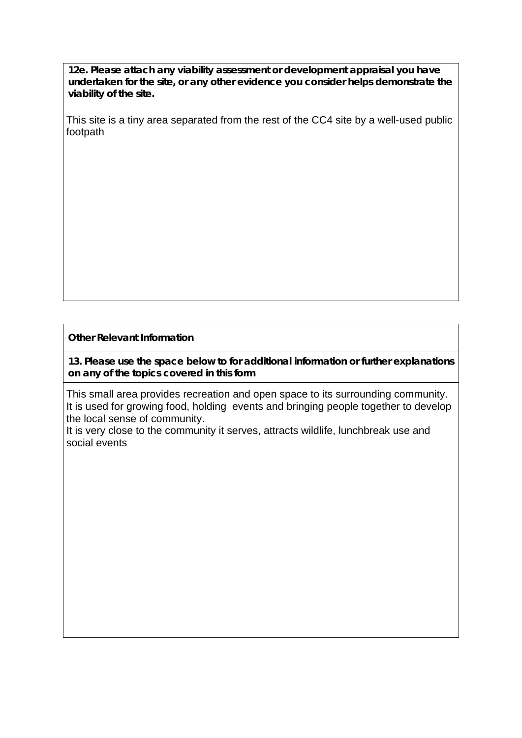**12e. Please attach any viability assessment or development appraisal you have undertaken for the site, or any other evidence you consider helps demonstrate the viability of the site.** 

This site is a tiny area separated from the rest of the CC4 site by a well-used public footpath

**Other Relevant Information**

**13. Please use the space below to for additional information or further explanations on any of the topics covered in this form**

This small area provides recreation and open space to its surrounding community. It is used for growing food, holding events and bringing people together to develop the local sense of community.

It is very close to the community it serves, attracts wildlife, lunchbreak use and social events